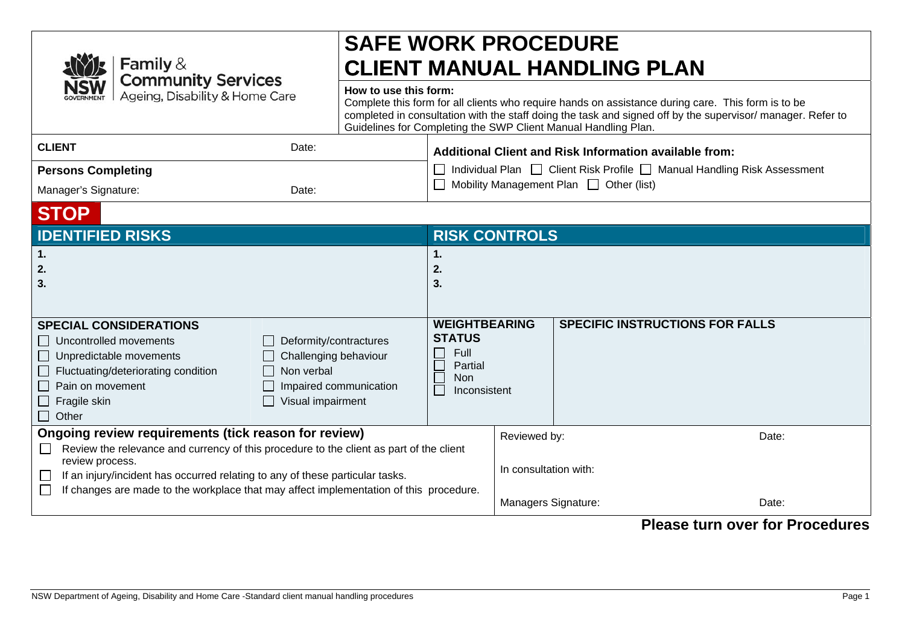|  | <b>NSW</b> Family &<br><b>NSW</b> Community Services<br><b>NSW</b> Ageing, Disability & Home Care |
|--|---------------------------------------------------------------------------------------------------|
|--|---------------------------------------------------------------------------------------------------|

# **SAFE WORK PROCEDURE CLIENT MANUAL HANDLING PLAN**

## **How to use this form:**

| Complete this form for all clients who require hands on assistance during care. This form is to be         |
|------------------------------------------------------------------------------------------------------------|
| completed in consultation with the staff doing the task and signed off by the supervisor/manager. Refer to |
| Guidelines for Completing the SWP Client Manual Handling Plan.                                             |
|                                                                                                            |

| <b>CLIENT</b>             | Date: | Additional Client and Risk Information available from:                    |
|---------------------------|-------|---------------------------------------------------------------------------|
| <b>Persons Completing</b> |       | □ Individual Plan □ Client Risk Profile □ Manual Handling Risk Assessment |
| Manager's Signature:      | Date: | $\Box$ Mobility Management Plan $\Box$ Other (list)                       |

## **STOP**

| <b>IDENTIFIED RISKS</b>                                                                                                                                                                                                                                                                                                                       | <b>RISK CONTROLS</b>                                                             |                                                              |                |  |
|-----------------------------------------------------------------------------------------------------------------------------------------------------------------------------------------------------------------------------------------------------------------------------------------------------------------------------------------------|----------------------------------------------------------------------------------|--------------------------------------------------------------|----------------|--|
| 1.<br>2.<br>3.                                                                                                                                                                                                                                                                                                                                | 2.<br>3.                                                                         |                                                              |                |  |
| <b>SPECIAL CONSIDERATIONS</b><br>$\Box$ Uncontrolled movements<br>Deformity/contractures<br>Challenging behaviour<br>Unpredictable movements<br>$\Box$ Fluctuating/deteriorating condition<br>Non verbal<br>    Pain on movement<br>Impaired communication<br>Visual impairment<br>$\Box$ Fragile skin<br>$\Box$ Other                        | <b>WEIGHTBEARING</b><br><b>STATUS</b><br>Full<br>Partial<br>Non.<br>Inconsistent | <b>SPECIFIC INSTRUCTIONS FOR FALLS</b>                       |                |  |
| Ongoing review requirements (tick reason for review)<br>Review the relevance and currency of this procedure to the client as part of the client<br>review process.<br>If an injury/incident has occurred relating to any of these particular tasks.<br>If changes are made to the workplace that may affect implementation of this procedure. |                                                                                  | Reviewed by:<br>In consultation with:<br>Managers Signature: | Date:<br>Date: |  |

## **Please turn over for Procedures**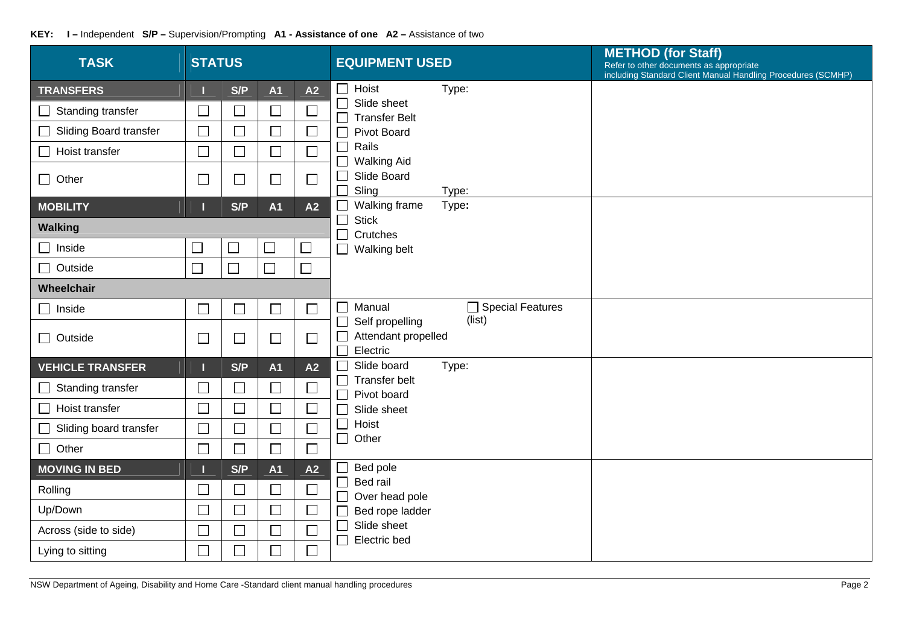| <b>TASK</b>                      | <b>STATUS</b>            |                             |                |        | <b>EQUIPMENT USED</b>                                                            | <b>METHOD (for Staff)</b><br>Refer to other documents as appropriate<br>including Standard Client Manual Handling Procedures (SCMHP) |  |  |
|----------------------------------|--------------------------|-----------------------------|----------------|--------|----------------------------------------------------------------------------------|--------------------------------------------------------------------------------------------------------------------------------------|--|--|
| <b>TRANSFERS</b>                 |                          | S/P                         | <b>A1</b>      | A2     | $\Box$<br>Hoist<br>Type:                                                         |                                                                                                                                      |  |  |
| Standing transfer<br>$\Box$      | $\Box$                   | $\Box$                      | $\Box$         |        | $\Box$<br>Slide sheet<br>$\Box$<br><b>Transfer Belt</b>                          |                                                                                                                                      |  |  |
| <b>Sliding Board transfer</b>    | $\Box$                   | $\Box$                      | $\Box$         | $\Box$ | <b>Pivot Board</b><br>$\Box$                                                     |                                                                                                                                      |  |  |
| Hoist transfer                   | $\Box$                   | $\Box$                      | $\Box$         | $\Box$ | Rails<br>$\Box$<br><b>Walking Aid</b><br>П                                       |                                                                                                                                      |  |  |
| $\Box$ Other                     | $\Box$                   | $\Box$                      | $\sqcup$       | $\Box$ | Slide Board<br>$\Box$<br>Sling<br>$\Box$<br>Type:                                |                                                                                                                                      |  |  |
| <b>MOBILITY</b>                  |                          | S/P                         | <b>A1</b>      | A2     | Walking frame<br>Type:<br>$\mathbf{I}$                                           |                                                                                                                                      |  |  |
| <b>Walking</b>                   |                          |                             |                |        | $\Box$<br><b>Stick</b><br>$\Box$<br>Crutches                                     |                                                                                                                                      |  |  |
| $\Box$ Inside                    | $\Box$                   | $\Box$                      | $\Box$         | $\Box$ | $\Box$<br>Walking belt                                                           |                                                                                                                                      |  |  |
| $\Box$ Outside                   | $\overline{\phantom{a}}$ | $\mathcal{L}_{\mathcal{A}}$ | $\Box$         | $\Box$ |                                                                                  |                                                                                                                                      |  |  |
| Wheelchair                       |                          |                             |                |        |                                                                                  |                                                                                                                                      |  |  |
| $\Box$ Inside                    | $\Box$                   | $\overline{\phantom{a}}$    | $\Box$         | $\Box$ | □ Special Features<br>Manual<br>$\Box$<br>(list)                                 |                                                                                                                                      |  |  |
| $\Box$ Outside                   | $\Box$                   | $\Box$                      | $\Box$         | $\Box$ | Self propelling<br>$\Box$<br>Attendant propelled<br>$\Box$<br>$\Box$<br>Electric |                                                                                                                                      |  |  |
| <b>VEHICLE TRANSFER</b>          |                          | S/P                         | <b>A1</b>      | A2     | Slide board<br>Type:<br>$\Box$                                                   |                                                                                                                                      |  |  |
| Standing transfer<br>$\Box$      | $\Box$                   | $\Box$                      | $\Box$         | $\Box$ | $\Box$<br>Transfer belt<br>$\Box$<br>Pivot board                                 |                                                                                                                                      |  |  |
| Hoist transfer                   | $\Box$                   | $\Box$                      | $\Box$         | $\Box$ | $\Box$<br>Slide sheet                                                            |                                                                                                                                      |  |  |
| Sliding board transfer<br>$\Box$ | $\overline{\phantom{a}}$ | $\Box$                      | $\Box$         | $\Box$ | $\Box$<br>Hoist<br>$\Box$<br>Other                                               |                                                                                                                                      |  |  |
| $\Box$ Other                     | $\Box$                   | $\Box$                      | $\Box$         | $\Box$ |                                                                                  |                                                                                                                                      |  |  |
| <b>MOVING IN BED</b>             |                          | S/P                         | A <sub>1</sub> | A2     | Bed pole<br>$\Box$                                                               |                                                                                                                                      |  |  |
| Rolling                          | $\Box$                   | $\Box$                      | $\Box$         | $\Box$ | $\Box$<br>Bed rail<br>$\Box$<br>Over head pole                                   |                                                                                                                                      |  |  |
| Up/Down                          | $\Box$                   | $\Box$                      | $\Box$         | $\Box$ | Bed rope ladder<br>$\Box$                                                        |                                                                                                                                      |  |  |
| Across (side to side)            | $\overline{\phantom{a}}$ | $\Box$                      |                |        | $\Box$<br>Slide sheet<br>e e de la propie<br>Electric bed                        |                                                                                                                                      |  |  |
| Lying to sitting                 | $\Box$                   | $\Box$                      | $\Box$         | $\Box$ |                                                                                  |                                                                                                                                      |  |  |

### **KEY: I –** Independent **S/P –** Supervision/Prompting **A1 - Assistance of one A2 –** Assistance of two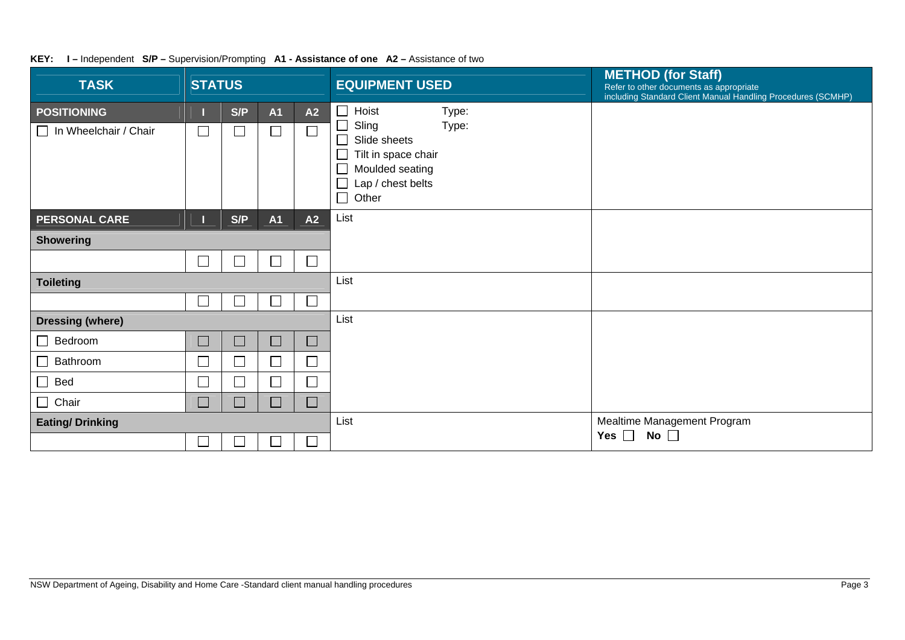| <b>TASK</b>                     | <b>STATUS</b>               |     |           |                             | <b>EQUIPMENT USED</b>                                      | <b>METHOD (for Staff)</b><br>Refer to other documents as appropriate<br>including Standard Client Manual Handling Procedures (SCMHP) |
|---------------------------------|-----------------------------|-----|-----------|-----------------------------|------------------------------------------------------------|--------------------------------------------------------------------------------------------------------------------------------------|
| <b>POSITIONING</b>              |                             | S/P | <b>A1</b> | A2                          | Hoist<br>Type:                                             |                                                                                                                                      |
| In Wheelchair / Chair<br>$\Box$ | $\Box$                      |     | $\Box$    | $\Box$                      | Sling<br>Type:<br>Slide sheets<br>$\overline{\phantom{a}}$ |                                                                                                                                      |
|                                 |                             |     |           |                             | Tilt in space chair                                        |                                                                                                                                      |
|                                 |                             |     |           |                             | Moulded seating                                            |                                                                                                                                      |
|                                 |                             |     |           |                             | Lap / chest belts<br>Other                                 |                                                                                                                                      |
| <b>PERSONAL CARE</b>            |                             | S/P | <b>A1</b> | A2                          | List                                                       |                                                                                                                                      |
| <b>Showering</b>                |                             |     |           |                             |                                                            |                                                                                                                                      |
|                                 |                             |     | $\Box$    | $\Box$                      |                                                            |                                                                                                                                      |
| <b>Toileting</b>                |                             |     |           |                             | List                                                       |                                                                                                                                      |
|                                 | $\mathcal{L}_{\mathcal{A}}$ |     |           | $\Box$                      |                                                            |                                                                                                                                      |
| <b>Dressing (where)</b>         |                             |     |           |                             | List                                                       |                                                                                                                                      |
| Bedroom<br>$\mathsf{L}$         | $\Box$                      | L   | $\Box$    | $\mathcal{L}_{\mathcal{A}}$ |                                                            |                                                                                                                                      |
| Bathroom<br>$\mathsf{L}$        |                             |     | $\Box$    | $\Box$                      |                                                            |                                                                                                                                      |
| Bed<br>$\Box$                   | $\overline{\Box}$           |     | $\Box$    | $\Box$                      |                                                            |                                                                                                                                      |
| $\Box$ Chair                    | $\Box$                      | └   | $\Box$    | $\Box$                      |                                                            |                                                                                                                                      |
| <b>Eating/Drinking</b>          |                             |     |           |                             | List                                                       | Mealtime Management Program                                                                                                          |
|                                 | $\mathbf{L}$                |     |           | Г                           |                                                            | Yes $\square$<br>No $\square$                                                                                                        |

### **KEY: I –** Independent **S/P –** Supervision/Prompting **A1 - Assistance of one A2 –** Assistance of two